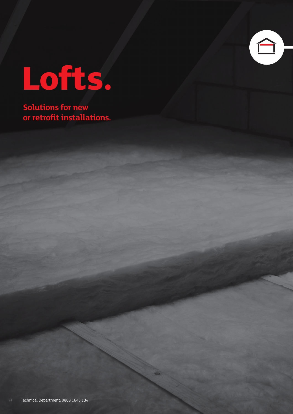

# **Lofts.**

**Solutions for new or retrofit installations.**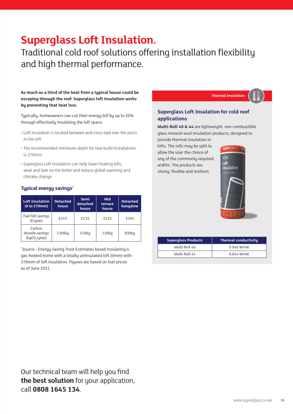# **Superglass Loft Insulation.**

Traditional cold roof solutions offering installation flexibility and high thermal performance.

**As much as a third of the heat from a typical house could be escaping through the roof. Superglass loft insulation works by preventing that heat loss.** 

Typically, homeowners can cut their energy bill by up to 20% through effectively insulating the loft space.

- Loft insulation is located between and cross-laid over the joists in the loft
- The recommended minimum depth for new build installations is 270mm
- Superglass Loft Insulation can help lower heating bills, wear and tear on the boiler and reduce global warming and climate change

#### **Typical energy savings\***

| <b>Loft Insulation</b><br>(0 to 270mm)                 | <b>Detached</b><br>house | Mid<br>Semi<br>detached<br>terrace<br>house<br>house |       | <b>Detached</b><br>bungalow |  |
|--------------------------------------------------------|--------------------------|------------------------------------------------------|-------|-----------------------------|--|
| Fuel bill savings<br>(E/year)                          | £315                     | £135                                                 | £125  | £195                        |  |
| Carbon<br>dioxide savings<br>(kgCO <sub>2</sub> /year) | 1300kg                   | 510kg                                                | 530kg | 830kg                       |  |

\* Source - Energy Saving Trust Estimates based insulating a gas-heated home with a totally uninsulated loft (0mm) with 270mm of loft insulation. Figures are based on fuel prices as of June 2021.

### **Thermal Insulation**

## **Superglass Loft Insulation for cold roof applications**

**Multi-Roll 40 & 44** are lightweight, non-combustible glass mineral wool insulation products, designed to

provide thermal insulation in lofts. The rolls may be split to allow the user the choice of any of the commonly required widths. The products are strong, flexible and resilient.



| <b>Superglass Products</b> | <b>Thermal conductivity</b> |  |  |  |  |
|----------------------------|-----------------------------|--|--|--|--|
| Multi-Roll 40              | $0.040$ W/mK                |  |  |  |  |
| Multi-Roll 44              | $0.044$ W/mK                |  |  |  |  |

Our technical team will help you find **the best solution** for your application, call **0808 1645 134**.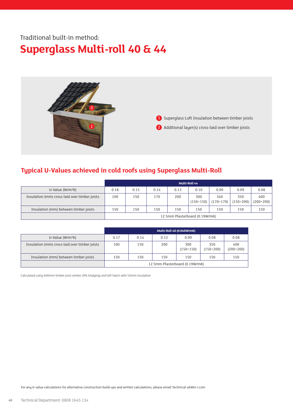# Traditional built-in method: **Superglass Multi-roll 40 & 44**



1 Superglass Loft Insulation between timber joists 2 Additional layer(s) cross-laid over timber joists

## **Typical U-Values achieved in cold roofs using Superglass Multi-Roll**

|                                               | <b>Multi-Roll 44</b>           |      |      |      |                    |                    |                    |                    |
|-----------------------------------------------|--------------------------------|------|------|------|--------------------|--------------------|--------------------|--------------------|
| U-Value $(W/m^2K)$                            | 0.18                           | 0.15 | 0.14 | 0.13 | 0.10               | 0.09               | 0.09               | 0.08               |
| Insulation (mm) cross-laid over timber joists | 100                            | 150  | 170  | 200  | 300<br>$(150+150)$ | 340<br>$(170+170)$ | 350<br>$(150+200)$ | 400<br>$(200+200)$ |
| Insulation (mm) between timber joists         | 150                            | 150  | 150  | 150  | 150                | 150                | 150                | 150                |
|                                               | 12.5mm Plasterboard (0.19W/mK) |      |      |      |                    |                    |                    |                    |

|                                               | Multi-Roll 40 (0.040W/mK)      |      |      |                    |                    |                    |  |  |
|-----------------------------------------------|--------------------------------|------|------|--------------------|--------------------|--------------------|--|--|
| $U-Value (W/m2K)$                             | 0.17                           | 0.14 | 0.12 | 0.09               | 0.08               | 0.08               |  |  |
| Insulation (mm) cross-laid over timber joists | 100                            | 150  | 200  | 300<br>$(150+150)$ | 350<br>$(150+200)$ | 400<br>$(200+200)$ |  |  |
| Insulation (mm) between timber joists         | 150                            | 150  | 150  | 150                | 150                | 150                |  |  |
|                                               | 12.5mm Plasterboard (0.19W/mK) |      |      |                    |                    |                    |  |  |

Calculated using 600mm timber joist centres (9% bridging) and loft hatch with 50mm insulation

For any U-value calculations for alternative construction build-ups and written calculations, please email Technical-uk@tn-i.com